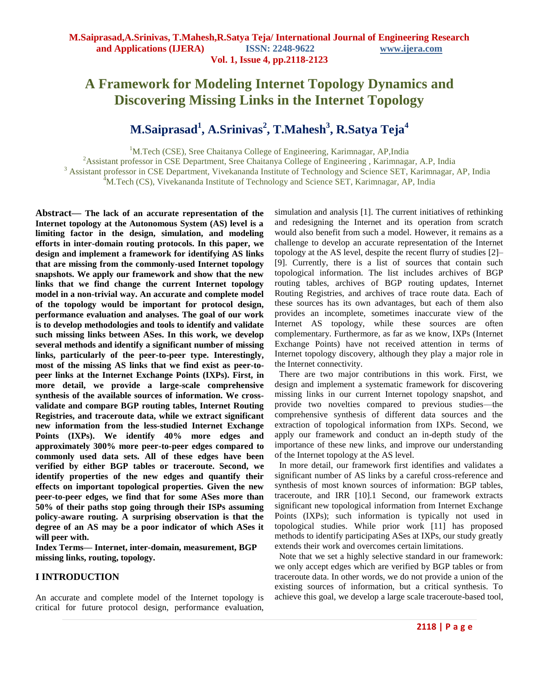# **A Framework for Modeling Internet Topology Dynamics and Discovering Missing Links in the Internet Topology**

# **M.Saiprasad<sup>1</sup> , A.Srinivas<sup>2</sup> , T.Mahesh<sup>3</sup> , R.Satya Teja<sup>4</sup>**

<sup>1</sup>M.Tech (CSE), Sree Chaitanya College of Engineering, Karimnagar, AP, India

<sup>2</sup>Assistant professor in CSE Department, Sree Chaitanya College of Engineering , Karimnagar, A.P, India

<sup>3</sup> Assistant professor in CSE Department, Vivekananda Institute of Technology and Science SET, Karimnagar, AP, India

<sup>4</sup>M.Tech (CS), Vivekananda Institute of Technology and Science SET, Karimnagar, AP, India

**Abstract— The lack of an accurate representation of the Internet topology at the Autonomous System (AS) level is a limiting factor in the design, simulation, and modeling efforts in inter-domain routing protocols. In this paper, we design and implement a framework for identifying AS links that are missing from the commonly-used Internet topology snapshots. We apply our framework and show that the new links that we find change the current Internet topology model in a non-trivial way. An accurate and complete model of the topology would be important for protocol design, performance evaluation and analyses. The goal of our work is to develop methodologies and tools to identify and validate such missing links between ASes. In this work, we develop several methods and identify a significant number of missing links, particularly of the peer-to-peer type. Interestingly, most of the missing AS links that we find exist as peer-topeer links at the Internet Exchange Points (IXPs). First, in more detail, we provide a large-scale comprehensive synthesis of the available sources of information. We crossvalidate and compare BGP routing tables, Internet Routing Registries, and traceroute data, while we extract significant new information from the less-studied Internet Exchange Points (IXPs). We identify 40% more edges and approximately 300% more peer-to-peer edges compared to commonly used data sets. All of these edges have been verified by either BGP tables or traceroute. Second, we identify properties of the new edges and quantify their effects on important topological properties. Given the new peer-to-peer edges, we find that for some ASes more than 50% of their paths stop going through their ISPs assuming policy-aware routing. A surprising observation is that the degree of an AS may be a poor indicator of which ASes it will peer with.**

**Index Terms— Internet, inter-domain, measurement, BGP missing links, routing, topology.**

## **I INTRODUCTION**

An accurate and complete model of the Internet topology is critical for future protocol design, performance evaluation, simulation and analysis [1]. The current initiatives of rethinking and redesigning the Internet and its operation from scratch would also benefit from such a model. However, it remains as a challenge to develop an accurate representation of the Internet topology at the AS level, despite the recent flurry of studies [2]– [9]. Currently, there is a list of sources that contain such topological information. The list includes archives of BGP routing tables, archives of BGP routing updates, Internet Routing Registries, and archives of trace route data. Each of these sources has its own advantages, but each of them also provides an incomplete, sometimes inaccurate view of the Internet AS topology, while these sources are often complementary. Furthermore, as far as we know, IXPs (Internet Exchange Points) have not received attention in terms of Internet topology discovery, although they play a major role in the Internet connectivity.

 There are two major contributions in this work. First, we design and implement a systematic framework for discovering missing links in our current Internet topology snapshot, and provide two novelties compared to previous studies—the comprehensive synthesis of different data sources and the extraction of topological information from IXPs. Second, we apply our framework and conduct an in-depth study of the importance of these new links, and improve our understanding of the Internet topology at the AS level.

 In more detail, our framework first identifies and validates a significant number of AS links by a careful cross-reference and synthesis of most known sources of information: BGP tables, traceroute, and IRR [10].1 Second, our framework extracts significant new topological information from Internet Exchange Points (IXPs); such information is typically not used in topological studies. While prior work [11] has proposed methods to identify participating ASes at IXPs, our study greatly extends their work and overcomes certain limitations.

 Note that we set a highly selective standard in our framework: we only accept edges which are verified by BGP tables or from traceroute data. In other words, we do not provide a union of the existing sources of information, but a critical synthesis. To achieve this goal, we develop a large scale traceroute-based tool,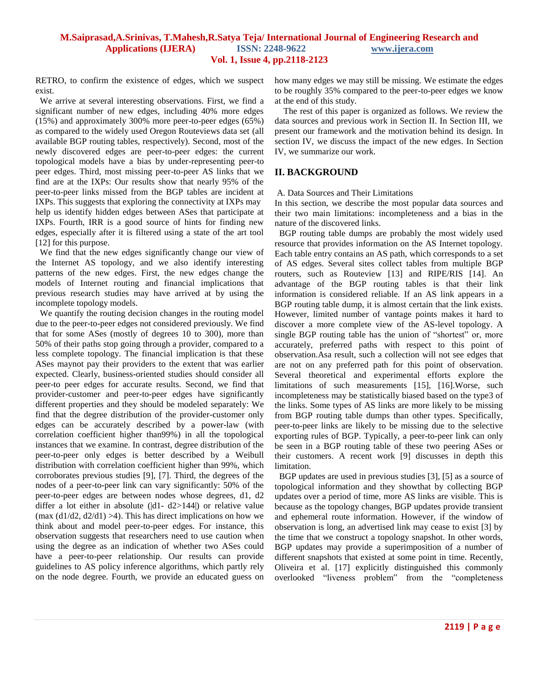RETRO, to confirm the existence of edges, which we suspect exist.

 We arrive at several interesting observations. First, we find a significant number of new edges, including 40% more edges (15%) and approximately 300% more peer-to-peer edges (65%) as compared to the widely used Oregon Routeviews data set (all available BGP routing tables, respectively). Second, most of the newly discovered edges are peer-to-peer edges: the current topological models have a bias by under-representing peer-to peer edges. Third, most missing peer-to-peer AS links that we find are at the IXPs: Our results show that nearly 95% of the peer-to-peer links missed from the BGP tables are incident at IXPs. This suggests that exploring the connectivity at IXPs may help us identify hidden edges between ASes that participate at IXPs. Fourth, IRR is a good source of hints for finding new edges, especially after it is filtered using a state of the art tool [12] for this purpose.

 We find that the new edges significantly change our view of the Internet AS topology, and we also identify interesting patterns of the new edges. First, the new edges change the models of Internet routing and financial implications that previous research studies may have arrived at by using the incomplete topology models.

 We quantify the routing decision changes in the routing model due to the peer-to-peer edges not considered previously. We find that for some ASes (mostly of degrees 10 to 300), more than 50% of their paths stop going through a provider, compared to a less complete topology. The financial implication is that these ASes maynot pay their providers to the extent that was earlier expected. Clearly, business-oriented studies should consider all peer-to peer edges for accurate results. Second, we find that provider-customer and peer-to-peer edges have significantly different properties and they should be modeled separately: We find that the degree distribution of the provider-customer only edges can be accurately described by a power-law (with correlation coefficient higher than99%) in all the topological instances that we examine. In contrast, degree distribution of the peer-to-peer only edges is better described by a Weibull distribution with correlation coefficient higher than 99%, which corroborates previous studies [9], [7]. Third, the degrees of the nodes of a peer-to-peer link can vary significantly: 50% of the peer-to-peer edges are between nodes whose degrees, d1, d2 differ a lot either in absolute ( $|d1 - d2 > 144|$ ) or relative value  $(\text{max } (d1/d2, d2/d1) > 4)$ . This has direct implications on how we think about and model peer-to-peer edges. For instance, this observation suggests that researchers need to use caution when using the degree as an indication of whether two ASes could have a peer-to-peer relationship. Our results can provide guidelines to AS policy inference algorithms, which partly rely on the node degree. Fourth, we provide an educated guess on

how many edges we may still be missing. We estimate the edges to be roughly 35% compared to the peer-to-peer edges we know at the end of this study.

 The rest of this paper is organized as follows. We review the data sources and previous work in Section II. In Section III, we present our framework and the motivation behind its design. In section IV, we discuss the impact of the new edges. In Section IV, we summarize our work.

### **II. BACKGROUND**

A. Data Sources and Their Limitations

In this section, we describe the most popular data sources and their two main limitations: incompleteness and a bias in the nature of the discovered links.

 BGP routing table dumps are probably the most widely used resource that provides information on the AS Internet topology. Each table entry contains an AS path, which corresponds to a set of AS edges. Several sites collect tables from multiple BGP routers, such as Routeview [13] and RIPE/RIS [14]. An advantage of the BGP routing tables is that their link information is considered reliable. If an AS link appears in a BGP routing table dump, it is almost certain that the link exists. However, limited number of vantage points makes it hard to discover a more complete view of the AS-level topology. A single BGP routing table has the union of "shortest" or, more accurately, preferred paths with respect to this point of observation.Asa result, such a collection will not see edges that are not on any preferred path for this point of observation. Several theoretical and experimental efforts explore the limitations of such measurements [15], [16]. Worse, such incompleteness may be statistically biased based on the type3 of the links. Some types of AS links are more likely to be missing from BGP routing table dumps than other types. Specifically, peer-to-peer links are likely to be missing due to the selective exporting rules of BGP. Typically, a peer-to-peer link can only be seen in a BGP routing table of these two peering ASes or their customers. A recent work [9] discusses in depth this limitation.

 BGP updates are used in previous studies [3], [5] as a source of topological information and they showthat by collecting BGP updates over a period of time, more AS links are visible. This is because as the topology changes, BGP updates provide transient and ephemeral route information. However, if the window of observation is long, an advertised link may cease to exist [3] by the time that we construct a topology snapshot. In other words, BGP updates may provide a superimposition of a number of different snapshots that existed at some point in time. Recently, Oliveira et al. [17] explicitly distinguished this commonly overlooked "liveness problem" from the "completeness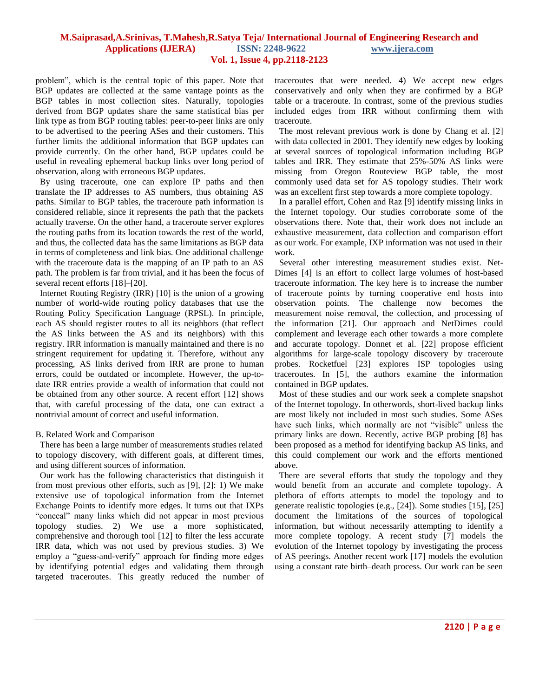problem", which is the central topic of this paper. Note that BGP updates are collected at the same vantage points as the BGP tables in most collection sites. Naturally, topologies derived from BGP updates share the same statistical bias per link type as from BGP routing tables: peer-to-peer links are only to be advertised to the peering ASes and their customers. This further limits the additional information that BGP updates can provide currently. On the other hand, BGP updates could be useful in revealing ephemeral backup links over long period of observation, along with erroneous BGP updates.

 By using traceroute, one can explore IP paths and then translate the IP addresses to AS numbers, thus obtaining AS paths. Similar to BGP tables, the traceroute path information is considered reliable, since it represents the path that the packets actually traverse. On the other hand, a traceroute server explores the routing paths from its location towards the rest of the world, and thus, the collected data has the same limitations as BGP data in terms of completeness and link bias. One additional challenge with the traceroute data is the mapping of an IP path to an AS path. The problem is far from trivial, and it has been the focus of several recent efforts [18]–[20].

 Internet Routing Registry (IRR) [10] is the union of a growing number of world-wide routing policy databases that use the Routing Policy Specification Language (RPSL). In principle, each AS should register routes to all its neighbors (that reflect the AS links between the AS and its neighbors) with this registry. IRR information is manually maintained and there is no stringent requirement for updating it. Therefore, without any processing, AS links derived from IRR are prone to human errors, could be outdated or incomplete. However, the up-todate IRR entries provide a wealth of information that could not be obtained from any other source. A recent effort [12] shows that, with careful processing of the data, one can extract a nontrivial amount of correct and useful information.

#### B. Related Work and Comparison

 There has been a large number of measurements studies related to topology discovery, with different goals, at different times, and using different sources of information.

 Our work has the following characteristics that distinguish it from most previous other efforts, such as [9], [2]: 1) We make extensive use of topological information from the Internet Exchange Points to identify more edges. It turns out that IXPs ―conceal‖ many links which did not appear in most previous topology studies. 2) We use a more sophisticated, comprehensive and thorough tool [12] to filter the less accurate IRR data, which was not used by previous studies. 3) We employ a "guess-and-verify" approach for finding more edges by identifying potential edges and validating them through targeted traceroutes. This greatly reduced the number of traceroutes that were needed. 4) We accept new edges conservatively and only when they are confirmed by a BGP table or a traceroute. In contrast, some of the previous studies included edges from IRR without confirming them with traceroute.

 The most relevant previous work is done by Chang et al. [2] with data collected in 2001. They identify new edges by looking at several sources of topological information including BGP tables and IRR. They estimate that 25%-50% AS links were missing from Oregon Routeview BGP table, the most commonly used data set for AS topology studies. Their work was an excellent first step towards a more complete topology.

 In a parallel effort, Cohen and Raz [9] identify missing links in the Internet topology. Our studies corroborate some of the observations there. Note that, their work does not include an exhaustive measurement, data collection and comparison effort as our work. For example, IXP information was not used in their work.

 Several other interesting measurement studies exist. Net-Dimes [4] is an effort to collect large volumes of host-based traceroute information. The key here is to increase the number of traceroute points by turning cooperative end hosts into observation points. The challenge now becomes the measurement noise removal, the collection, and processing of the information [21]. Our approach and NetDimes could complement and leverage each other towards a more complete and accurate topology. Donnet et al. [22] propose efficient algorithms for large-scale topology discovery by traceroute probes. Rocketfuel [23] explores ISP topologies using traceroutes. In [5], the authors examine the information contained in BGP updates.

 Most of these studies and our work seek a complete snapshot of the Internet topology. In otherwords, short-lived backup links are most likely not included in most such studies. Some ASes have such links, which normally are not "visible" unless the primary links are down. Recently, active BGP probing [8] has been proposed as a method for identifying backup AS links, and this could complement our work and the efforts mentioned above.

 There are several efforts that study the topology and they would benefit from an accurate and complete topology. A plethora of efforts attempts to model the topology and to generate realistic topologies (e.g., [24]). Some studies [15], [25] document the limitations of the sources of topological information, but without necessarily attempting to identify a more complete topology. A recent study [7] models the evolution of the Internet topology by investigating the process of AS peerings. Another recent work [17] models the evolution using a constant rate birth–death process. Our work can be seen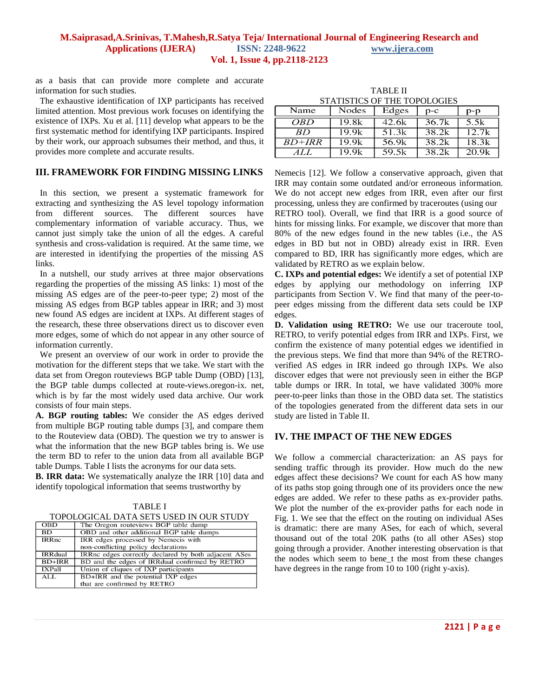as a basis that can provide more complete and accurate information for such studies.

 The exhaustive identification of IXP participants has received limited attention. Most previous work focuses on identifying the existence of IXPs. Xu et al. [11] develop what appears to be the first systematic method for identifying IXP participants. Inspired by their work, our approach subsumes their method, and thus, it provides more complete and accurate results.

### **III. FRAMEWORK FOR FINDING MISSING LINKS**

 In this section, we present a systematic framework for extracting and synthesizing the AS level topology information from different sources. The different sources have complementary information of variable accuracy. Thus, we cannot just simply take the union of all the edges. A careful synthesis and cross-validation is required. At the same time, we are interested in identifying the properties of the missing AS links.

 In a nutshell, our study arrives at three major observations regarding the properties of the missing AS links: 1) most of the missing AS edges are of the peer-to-peer type; 2) most of the missing AS edges from BGP tables appear in IRR; and 3) most new found AS edges are incident at IXPs. At different stages of the research, these three observations direct us to discover even more edges, some of which do not appear in any other source of information currently.

 We present an overview of our work in order to provide the motivation for the different steps that we take. We start with the data set from Oregon routeviews BGP table Dump (OBD) [13], the BGP table dumps collected at route-views.oregon-ix. net, which is by far the most widely used data archive. Our work consists of four main steps.

**A. BGP routing tables:** We consider the AS edges derived from multiple BGP routing table dumps [3], and compare them to the Routeview data (OBD). The question we try to answer is what the information that the new BGP tables bring is. We use the term BD to refer to the union data from all available BGP table Dumps. Table I lists the acronyms for our data sets.

**B. IRR data:** We systematically analyze the IRR [10] data and identify topological information that seems trustworthy by

| <b>TABLE I</b>                          |  |
|-----------------------------------------|--|
| TOPOLOGICAL DATA SETS USED IN OUR STUDY |  |

| 1919200101122111119219202221192011922 |                                                      |  |  |  |
|---------------------------------------|------------------------------------------------------|--|--|--|
| <b>OBD</b>                            | The Oregon routeviews BGP table dump                 |  |  |  |
| BD                                    | OBD and other additional BGP table dumps             |  |  |  |
| <b>IRRnc</b>                          | IRR edges processed by Nemecis with                  |  |  |  |
|                                       | non-conflicting policy declarations                  |  |  |  |
| IRRdual                               | IRRnc edges correctly declared by both adjacent ASes |  |  |  |
| BD+IRR                                | BD and the edges of IRRdual confirmed by RETRO       |  |  |  |
| <b>IXPall</b>                         | Union of cliques of IXP participants                 |  |  |  |
| ALI.                                  | BD+IRR and the potential IXP edges                   |  |  |  |
|                                       | that are confirmed by RETRO                          |  |  |  |

| STATISTICS OF THE TOPOLOGIES |
|------------------------------|
|                              |

| Name       | Nodes | Edges | $p-c$ | p-p   |
|------------|-------|-------|-------|-------|
| <i>OBD</i> | 19.8k | 42.6k | 36.7k | 5.5k  |
| RD.        | 19.9k | 51.3k | 38.2k | 12.7k |
| $BD+IRR$   | 19.9k | 56.9k | 38.2k | 18.3k |
| ALL.       | 19.9k | 59.5k | 38.2k | 20.9k |

Nemecis [12]. We follow a conservative approach, given that IRR may contain some outdated and/or erroneous information. We do not accept new edges from IRR, even after our first processing, unless they are confirmed by traceroutes (using our RETRO tool). Overall, we find that IRR is a good source of hints for missing links. For example, we discover that more than

80% of the new edges found in the new tables (i.e., the AS edges in BD but not in OBD) already exist in IRR. Even compared to BD, IRR has significantly more edges, which are validated by RETRO as we explain below.

**C. IXPs and potential edges:** We identify a set of potential IXP edges by applying our methodology on inferring IXP participants from Section V. We find that many of the peer-topeer edges missing from the different data sets could be IXP edges.

**D. Validation using RETRO:** We use our traceroute tool, RETRO, to verify potential edges from IRR and IXPs. First, we confirm the existence of many potential edges we identified in the previous steps. We find that more than 94% of the RETROverified AS edges in IRR indeed go through IXPs. We also discover edges that were not previously seen in either the BGP table dumps or IRR. In total, we have validated 300% more peer-to-peer links than those in the OBD data set. The statistics of the topologies generated from the different data sets in our study are listed in Table II.

### **IV. THE IMPACT OF THE NEW EDGES**

We follow a commercial characterization: an AS pays for sending traffic through its provider. How much do the new edges affect these decisions? We count for each AS how many of its paths stop going through one of its providers once the new edges are added. We refer to these paths as ex-provider paths. We plot the number of the ex-provider paths for each node in Fig. 1. We see that the effect on the routing on individual ASes is dramatic: there are many ASes, for each of which, several thousand out of the total 20K paths (to all other ASes) stop going through a provider. Another interesting observation is that the nodes which seem to bene\_t the most from these changes have degrees in the range from 10 to 100 (right y-axis).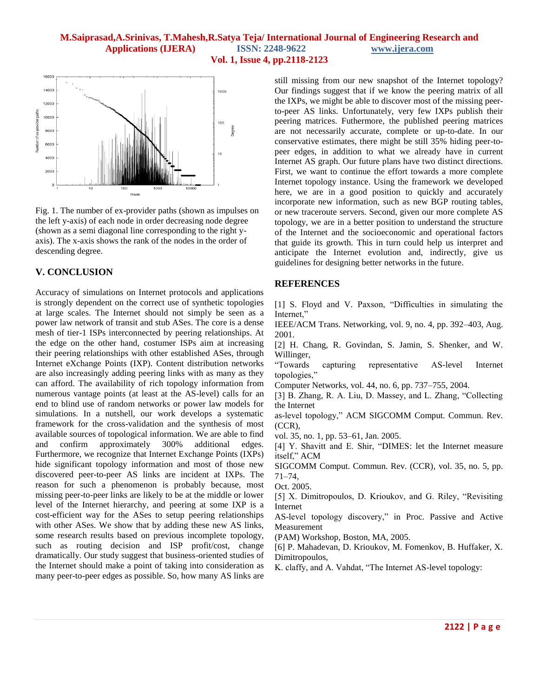

Fig. 1. The number of ex-provider paths (shown as impulses on the left y-axis) of each node in order decreasing node degree (shown as a semi diagonal line corresponding to the right yaxis). The x-axis shows the rank of the nodes in the order of descending degree.

### **V. CONCLUSION**

Accuracy of simulations on Internet protocols and applications is strongly dependent on the correct use of synthetic topologies at large scales. The Internet should not simply be seen as a power law network of transit and stub ASes. The core is a dense mesh of tier-1 ISPs interconnected by peering relationships. At the edge on the other hand, costumer ISPs aim at increasing their peering relationships with other established ASes, through Internet eXchange Points (IXP). Content distribution networks are also increasingly adding peering links with as many as they can afford. The availability of rich topology information from numerous vantage points (at least at the AS-level) calls for an end to blind use of random networks or power law models for simulations. In a nutshell, our work develops a systematic framework for the cross-validation and the synthesis of most available sources of topological information. We are able to find and confirm approximately 300% additional edges. Furthermore, we recognize that Internet Exchange Points (IXPs) hide significant topology information and most of those new discovered peer-to-peer AS links are incident at IXPs. The reason for such a phenomenon is probably because, most missing peer-to-peer links are likely to be at the middle or lower level of the Internet hierarchy, and peering at some IXP is a cost-efficient way for the ASes to setup peering relationships with other ASes. We show that by adding these new AS links, some research results based on previous incomplete topology, such as routing decision and ISP profit/cost, change dramatically. Our study suggest that business-oriented studies of the Internet should make a point of taking into consideration as many peer-to-peer edges as possible. So, how many AS links are

still missing from our new snapshot of the Internet topology? Our findings suggest that if we know the peering matrix of all the IXPs, we might be able to discover most of the missing peerto-peer AS links. Unfortunately, very few IXPs publish their peering matrices. Futhermore, the published peering matrices are not necessarily accurate, complete or up-to-date. In our conservative estimates, there might be still 35% hiding peer-topeer edges, in addition to what we already have in current Internet AS graph. Our future plans have two distinct directions. First, we want to continue the effort towards a more complete Internet topology instance. Using the framework we developed here, we are in a good position to quickly and accurately incorporate new information, such as new BGP routing tables, or new traceroute servers. Second, given our more complete AS topology, we are in a better position to understand the structure of the Internet and the socioeconomic and operational factors that guide its growth. This in turn could help us interpret and anticipate the Internet evolution and, indirectly, give us guidelines for designing better networks in the future.

### **REFERENCES**

[1] S. Floyd and V. Paxson, "Difficulties in simulating the Internet,"

IEEE/ACM Trans. Networking, vol. 9, no. 4, pp. 392–403, Aug. 2001.

[2] H. Chang, R. Govindan, S. Jamin, S. Shenker, and W. Willinger,

―Towards capturing representative AS-level Internet topologies,"

Computer Networks, vol. 44, no. 6, pp. 737–755, 2004.

[3] B. Zhang, R. A. Liu, D. Massey, and L. Zhang, "Collecting the Internet

as-level topology," ACM SIGCOMM Comput. Commun. Rev. (CCR),

vol. 35, no. 1, pp. 53–61, Jan. 2005.

[4] Y. Shavitt and E. Shir, "DIMES: let the Internet measure itself," ACM

SIGCOMM Comput. Commun. Rev. (CCR), vol. 35, no. 5, pp. 71–74,

Oct. 2005.

[5] X. Dimitropoulos, D. Krioukov, and G. Riley, "Revisiting Internet

AS-level topology discovery," in Proc. Passive and Active Measurement

(PAM) Workshop, Boston, MA, 2005.

[6] P. Mahadevan, D. Krioukov, M. Fomenkov, B. Huffaker, X. Dimitropoulos,

K. claffy, and A. Vahdat, "The Internet AS-level topology: